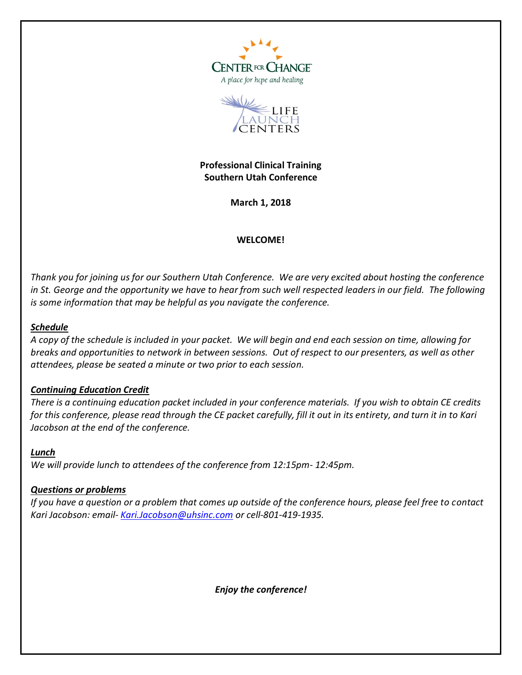



**Professional Clinical Training Southern Utah Conference**

**March 1, 2018**

## **WELCOME!**

*Thank you for joining us for our Southern Utah Conference. We are very excited about hosting the conference in St. George and the opportunity we have to hear from such well respected leaders in our field. The following is some information that may be helpful as you navigate the conference.*

## *Schedule*

*A copy of the schedule is included in your packet. We will begin and end each session on time, allowing for breaks and opportunities to network in between sessions. Out of respect to our presenters, as well as other attendees, please be seated a minute or two prior to each session.*

## *Continuing Education Credit*

*There is a continuing education packet included in your conference materials. If you wish to obtain CE credits for this conference, please read through the CE packet carefully, fill it out in its entirety, and turn it in to Kari Jacobson at the end of the conference.*

## *Lunch*

*We will provide lunch to attendees of the conference from 12:15pm- 12:45pm.* 

## *Questions or problems*

*If you have a question or a problem that comes up outside of the conference hours, please feel free to contact Kari Jacobson: email- [Kari.Jacobson@uhsinc.com](mailto:Kari.Jacobson@uhsinc.com) or cell-801-419-1935.*

*Enjoy the conference!*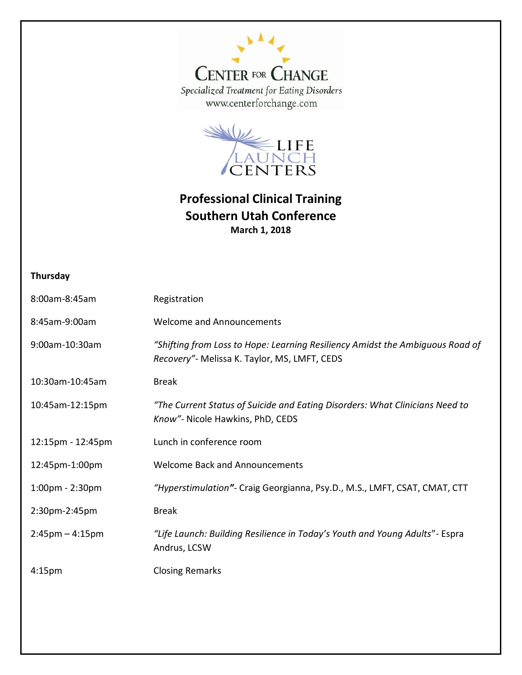



## **Professional Clinical Training Southern Utah Conference March 1, 2018**

## **Thursday**

| 8:00am-8:45am                     | Registration                                                                                                                   |
|-----------------------------------|--------------------------------------------------------------------------------------------------------------------------------|
| 8:45am-9:00am                     | <b>Welcome and Announcements</b>                                                                                               |
| 9:00am-10:30am                    | "Shifting from Loss to Hope: Learning Resiliency Amidst the Ambiguous Road of<br>Recovery" - Melissa K. Taylor, MS, LMFT, CEDS |
| 10:30am-10:45am                   | <b>Break</b>                                                                                                                   |
| 10:45am-12:15pm                   | "The Current Status of Suicide and Eating Disorders: What Clinicians Need to<br>Know"- Nicole Hawkins, PhD, CEDS               |
| 12:15pm - 12:45pm                 | Lunch in conference room                                                                                                       |
| 12:45pm-1:00pm                    | <b>Welcome Back and Announcements</b>                                                                                          |
| $1:00 \text{pm} - 2:30 \text{pm}$ | "Hyperstimulation"- Craig Georgianna, Psy.D., M.S., LMFT, CSAT, CMAT, CTT                                                      |
| 2:30pm-2:45pm                     | <b>Break</b>                                                                                                                   |
| $2:45$ pm $-4:15$ pm              | "Life Launch: Building Resilience in Today's Youth and Young Adults" - Espra<br>Andrus, LCSW                                   |
| 4:15 <sub>pm</sub>                | <b>Closing Remarks</b>                                                                                                         |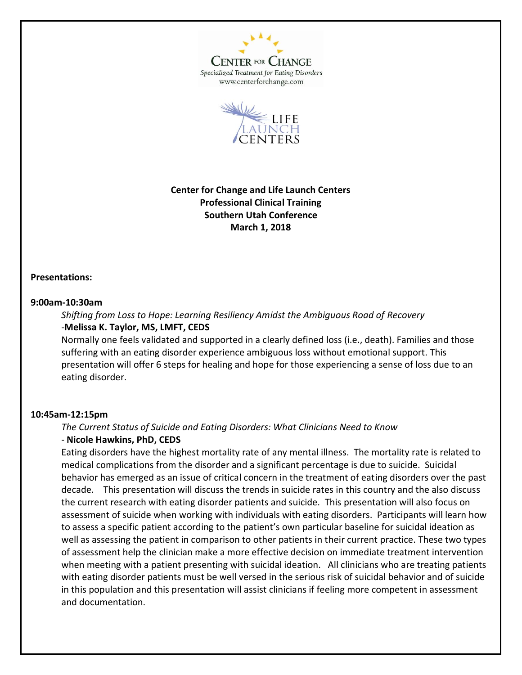

**CENTER FOR CHANGE** Specialized Treatment for Eating Disorders www.centerforchange.com



**Center for Change and Life Launch Centers Professional Clinical Training Southern Utah Conference March 1, 2018**

#### **Presentations:**

#### **9:00am-10:30am**

*Shifting from Loss to Hope: Learning Resiliency Amidst the Ambiguous Road of Recovery* -**Melissa K. Taylor, MS, LMFT, CEDS**

Normally one feels validated and supported in a clearly defined loss (i.e., death). Families and those suffering with an eating disorder experience ambiguous loss without emotional support. This presentation will offer 6 steps for healing and hope for those experiencing a sense of loss due to an eating disorder.

#### **10:45am-12:15pm**

*The Current Status of Suicide and Eating Disorders: What Clinicians Need to Know*

## - **Nicole Hawkins, PhD, CEDS**

Eating disorders have the highest mortality rate of any mental illness. The mortality rate is related to medical complications from the disorder and a significant percentage is due to suicide. Suicidal behavior has emerged as an issue of critical concern in the treatment of eating disorders over the past decade. This presentation will discuss the trends in suicide rates in this country and the also discuss the current research with eating disorder patients and suicide. This presentation will also focus on assessment of suicide when working with individuals with eating disorders. Participants will learn how to assess a specific patient according to the patient's own particular baseline for suicidal ideation as well as assessing the patient in comparison to other patients in their current practice. These two types of assessment help the clinician make a more effective decision on immediate treatment intervention when meeting with a patient presenting with suicidal ideation. All clinicians who are treating patients with eating disorder patients must be well versed in the serious risk of suicidal behavior and of suicide in this population and this presentation will assist clinicians if feeling more competent in assessment and documentation.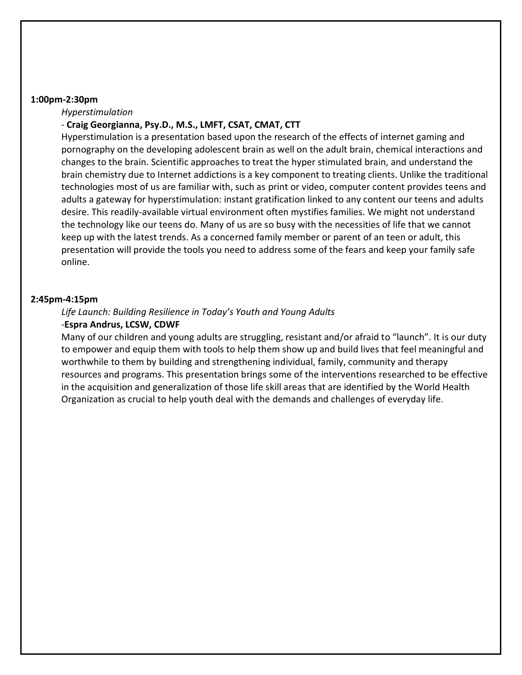#### **1:00pm-2:30pm**

*Hyperstimulation*

## - **Craig Georgianna, Psy.D., M.S., LMFT, CSAT, CMAT, CTT**

Hyperstimulation is a presentation based upon the research of the effects of internet gaming and pornography on the developing adolescent brain as well on the adult brain, chemical interactions and changes to the brain. Scientific approaches to treat the hyper stimulated brain, and understand the brain chemistry due to Internet addictions is a key component to treating clients. Unlike the traditional technologies most of us are familiar with, such as print or video, computer content provides teens and adults a gateway for hyperstimulation: instant gratification linked to any content our teens and adults desire. This readily-available virtual environment often mystifies families. We might not understand the technology like our teens do. Many of us are so busy with the necessities of life that we cannot keep up with the latest trends. As a concerned family member or parent of an teen or adult, this presentation will provide the tools you need to address some of the fears and keep your family safe online.

#### **2:45pm-4:15pm**

# *Life Launch: Building Resilience in Today's Youth and Young Adults*

## -**Espra Andrus, LCSW, CDWF**

Many of our children and young adults are struggling, resistant and/or afraid to "launch". It is our duty to empower and equip them with tools to help them show up and build lives that feel meaningful and worthwhile to them by building and strengthening individual, family, community and therapy resources and programs. This presentation brings some of the interventions researched to be effective in the acquisition and generalization of those life skill areas that are identified by the World Health Organization as crucial to help youth deal with the demands and challenges of everyday life.